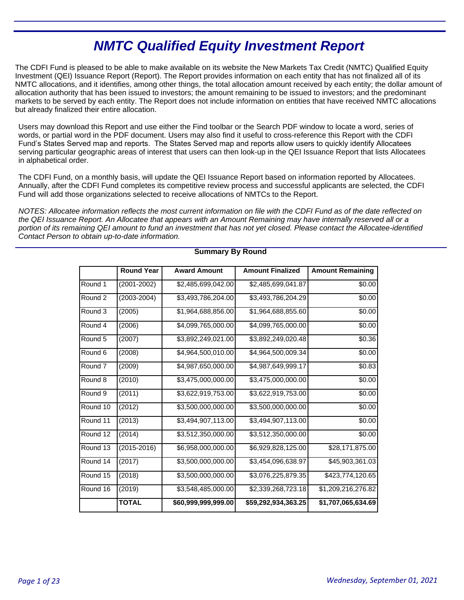# **NMTC Qualified Equity Investment Report**

The CDFI Fund is pleased to be able to make available on its website the New Markets Tax Credit (NMTC) Qualified Equity Investment (QEI) Issuance Report (Report). The Report provides information on each entity that has not finalized all of its NMTC allocations, and it identifies, among other things, the total allocation amount received by each entity; the dollar amount of allocation authority that has been issued to investors; the amount remaining to be issued to investors; and the predominant markets to be served by each entity. The Report does not include information on entities that have received NMTC allocations but already finalized their entire allocation.

Users may download this Report and use either the Find toolbar or the Search PDF window to locate a word, series of words, or partial word in the PDF document. Users may also find it useful to cross-reference this Report with the CDFI Fund's States Served map and reports. The States Served map and reports allow users to quickly identify Allocatees serving particular geographic areas of interest that users can then look-up in the QEI Issuance Report that lists Allocatees in alphabetical order.

The CDFI Fund, on a monthly basis, will update the QEI Issuance Report based on information reported by Allocatees. Annually, after the CDFI Fund completes its competitive review process and successful applicants are selected, the CDFI Fund will add those organizations selected to receive allocations of NMTCs to the Report.

NOTES: Allocatee information reflects the most current information on file with the CDFI Fund as of the date reflected on the QEI Issuance Report. An Allocatee that appears with an Amount Remaining may have internally reserved all or a portion of its remaining QEI amount to fund an investment that has not yet closed. Please contact the Allocatee-identified Contact Person to obtain up-to-date information.

|                    | <b>Round Year</b> | <b>Award Amount</b> | <b>Amount Finalized</b> | <b>Amount Remaining</b> |
|--------------------|-------------------|---------------------|-------------------------|-------------------------|
| Round 1            | (2001-2002)       | \$2,485,699,042.00  | \$2,485,699,041.87      | \$0.00                  |
| Round 2            | $(2003 - 2004)$   | \$3,493,786,204.00  | \$3,493,786,204.29      | \$0.00                  |
| Round 3            | (2005)            | \$1,964,688,856.00  | \$1,964,688,855.60      | \$0.00                  |
| Round 4            | (2006)            | \$4,099,765,000.00  | \$4,099,765,000.00      | \$0.00                  |
| Round 5            | (2007)            | \$3,892,249,021.00  | \$3,892,249,020.48      | \$0.36                  |
| Round 6            | (2008)            | \$4,964,500,010.00  | \$4,964,500,009.34      | \$0.00                  |
| Round 7            | (2009)            | \$4,987,650,000.00  | \$4,987,649,999.17      | \$0.83                  |
| Round <sub>8</sub> | (2010)            | \$3,475,000,000.00  | \$3,475,000,000.00      | \$0.00                  |
| Round 9            | (2011)            | \$3,622,919,753.00  | \$3,622,919,753.00      | \$0.00                  |
| Round 10           | (2012)            | \$3,500,000,000.00  | \$3,500,000,000.00      | \$0.00                  |
| Round 11           | (2013)            | \$3,494,907,113.00  | \$3,494,907,113.00      | \$0.00                  |
| Round 12           | (2014)            | \$3,512,350,000.00  | \$3,512,350,000.00      | \$0.00                  |
| Round 13           | $(2015 - 2016)$   | \$6,958,000,000.00  | \$6,929,828,125.00      | \$28,171,875.00         |
| Round 14           | (2017)            | \$3,500,000,000.00  | \$3,454,096,638.97      | \$45,903,361.03         |
| Round 15           | (2018)            | \$3,500,000,000.00  | \$3,076,225,879.35      | \$423,774,120.65        |
| Round 16           | (2019)            | \$3,548,485,000.00  | \$2,339,268,723.18      | \$1,209,216,276.82      |
|                    | <b>TOTAL</b>      | \$60,999,999,999.00 | \$59,292,934,363.25     | \$1,707,065,634.69      |

# **Summary By Round**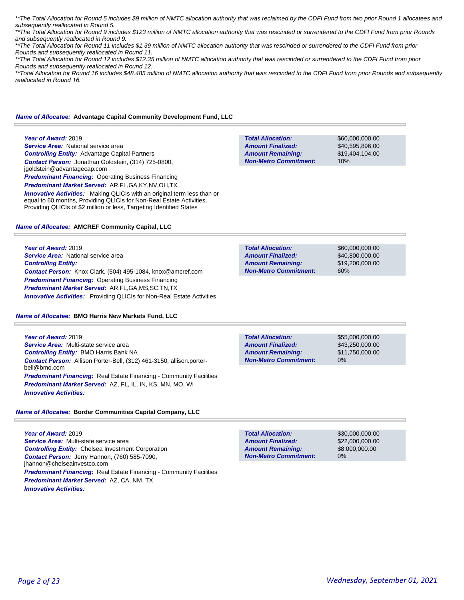\*\*The Total Allocation for Round 5 includes \$9 million of NMTC allocation authority that was reclaimed by the CDFI Fund from two prior Round 1 allocatees and subsequently reallocated in Round 5.

\*\*The Total Allocation for Round 9 includes \$123 million of NMTC allocation authority that was rescinded or surrendered to the CDFI Fund from prior Rounds and subsequently reallocated in Round 9.

\*\*The Total Allocation for Round 11 includes \$1.39 million of NMTC allocation authority that was rescinded or surrendered to the CDFI Fund from prior Rounds and subsequently reallocated in Round 11.

\*\*The Total Allocation for Round 12 includes \$12.35 million of NMTC allocation authority that was rescinded or surrendered to the CDFI Fund from prior Rounds and subsequently reallocated in Round 12.

\*\*Total Allocation for Round 16 includes \$48.485 million of NMTC allocation authority that was rescinded to the CDFI Fund from prior Rounds and subsequently *reallocated in Round 16.* 

#### *Name of Allocatee:* **Advantage Capital Community Development Fund, LLC**

#### **Year of Award:** 2019

**Service Area:** National service area *Controlling Entity:* Advantage Capital Partners *Contact Person:* Jonathan Goldstein, (314) 725-0800, jgoldstein@advantagecap.com **Predominant Financing: Operating Business Financing** 

*Predominant Market Served:* AR,FL,GA,KY,NV,OH,TX

**Innovative Activities:** Making QLICIs with an original term less than or equal to 60 months, Providing QLICIs for Non-Real Estate Activities, Providing QLICIs of \$2 million or less, Targeting Identified States

#### *Name of Allocatee:* **AMCREF Community Capital, LLC**

**Year of Award:** 2019 **Service Area:** National service area *Controlling Entity: Contact Person:* Knox Clark, (504) 495-1084, knox@amcref.com **Predominant Financing: Operating Business Financing** *Predominant Market Served:* AR,FL,GA,MS,SC,TN,TX *Innovative Activities:* Providing QLICIs for Non-Real Estate Activities

#### *Name of Allocatee:* **BMO Harris New Markets Fund, LLC**

**Year of Award:** 2019 *Service Area:* Multi-state service area *Controlling Entity:* BMO Harris Bank NA *Contact Person:* Allison Porter-Bell, (312) 461-3150, allison.porterbell@bmo.com **Predominant Financing:** Real Estate Financing - Community Facilities *Predominant Market Served:* AZ, FL, IL, IN, KS, MN, MO, WI *Innovative Activities:* 

#### *Name of Allocatee:* **Border Communities Capital Company, LLC**

**Year of Award:** 2019 *Service Area:* Multi-state service area *Controlling Entity:* Chelsea Investment Corporation *Contact Person:* Jerry Hannon, (760) 585-7090, jhannon@chelseainvestco.com **Predominant Financing:** Real Estate Financing - Community Facilities *Predominant Market Served:* AZ, CA, NM, TX *Innovative Activities:* 

| <b>Total Allocation:</b>     |  |
|------------------------------|--|
| <b>Amount Finalized:</b>     |  |
| <b>Amount Remaining:</b>     |  |
| <b>Non-Metro Commitment:</b> |  |

\$60,000,000.00 \$40,595,896.00 \$19,404,104.00 10%

\$60,000,000.00 \$40,800,000.00 \$19,200,000.00 60% **Total Allocation: Non-Metro Commitment: Amount Remaining: Amount Finalized:**

**Total Allocation: Non-Metro Commitment: Amount Remaining: Amount Finalized:**

\$55,000,000.00 \$43,250,000.00 \$11,750,000.00 0%

\$30,000,000.00 \$22,000,000.00 \$8,000,000.00 0% **Total Allocation: Non-Metro Commitment: Amount Remaining: Amount Finalized:**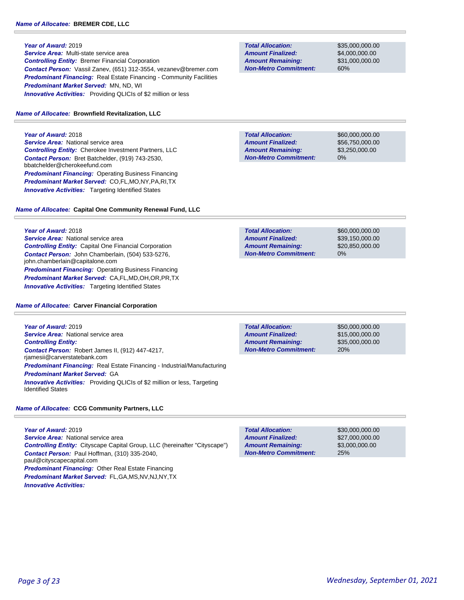*Service Area:* Multi-state service area *Controlling Entity:* Bremer Financial Corporation *Contact Person:* Vassil Zanev, (651) 312-3554, vezanev@bremer.com **Predominant Financing:** Real Estate Financing - Community Facilities *Predominant Market Served:* MN, ND, WI **Innovative Activities:** Providing QLICIs of \$2 million or less

#### *Name of Allocatee:* **Brownfield Revitalization, LLC**

**Year of Award:** 2018 **Service Area:** National service area *Controlling Entity:* Cherokee Investment Partners, LLC *Contact Person:* Bret Batchelder, (919) 743-2530, bbatchelder@cherokeefund.com *Predominant Financing:* Operating Business Financing *Predominant Market Served:* CO,FL,MO,NY,PA,RI,TX **Innovative Activities:** Targeting Identified States

## *Name of Allocatee:* **Capital One Community Renewal Fund, LLC**

**Year of Award:** 2018

**Service Area:** National service area *Controlling Entity:* Capital One Financial Corporation *Contact Person:* John Chamberlain, (504) 533-5276, john.chamberlain@capitalone.com *Predominant Financing:* Operating Business Financing *Predominant Market Served:* CA,FL,MD,OH,OR,PR,TX **Innovative Activities:** Targeting Identified States

#### *Name of Allocatee:* **Carver Financial Corporation**

**Year of Award:** 2019 **Service Area:** National service area *Controlling Entity: Contact Person:* Robert James II, (912) 447-4217, rjamesii@carverstatebank.com *Predominant Financing:* Real Estate Financing - Industrial/Manufacturing *Predominant Market Served:* GA *Innovative Activities:* Providing QLICIs of \$2 million or less, Targeting Identified States

## *Name of Allocatee:* **CCG Community Partners, LLC**

**Year of Award:** 2019 **Service Area:** National service area *Controlling Entity:* Cityscape Capital Group, LLC (hereinafter "Cityscape") *Contact Person:* Paul Hoffman, (310) 335-2040, paul@cityscapecapital.com *Predominant Financing:* Other Real Estate Financing *Predominant Market Served:* FL,GA,MS,NV,NJ,NY,TX *Innovative Activities:* 

**Total Allocation: Non-Metro Commitment: Amount Remaining: Amount Finalized:**

\$35,000,000.00 \$4,000,000.00 \$31,000,000.00 60%

**Total Allocation: Non-Metro Commitment: Amount Remaining: Amount Finalized:**

\$60,000,000.00 \$56,750,000.00 \$3,250,000.00 0%

\$60,000,000.00 \$39,150,000.00 \$20,850,000.00 0% **Total Allocation: Non-Metro Commitment: Amount Remaining: Amount Finalized:**

**Total Allocation: Non-Metro Commitment: Amount Remaining: Amount Finalized:**

\$50,000,000.00 \$15,000,000.00 \$35,000,000.00 20%

\$30,000,000.00 \$27,000,000.00 \$3,000,000.00 25% **Total Allocation: Non-Metro Commitment: Amount Remaining: Amount Finalized:**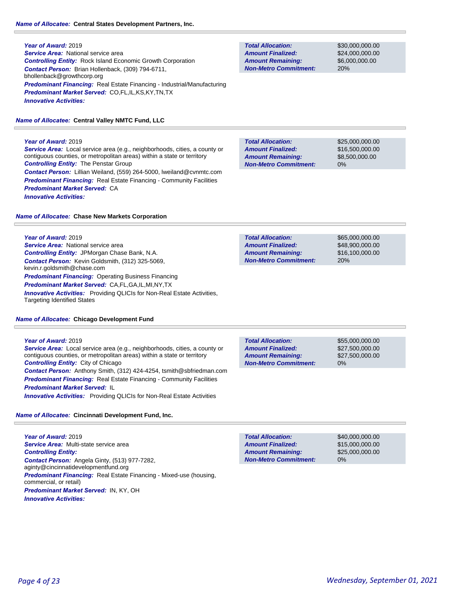## *Name of Allocatee:* **Central States Development Partners, Inc.**

**Year of Award:** 2019 **Service Area:** National service area *Controlling Entity:* Rock Island Economic Growth Corporation *Contact Person:* Brian Hollenback, (309) 794-6711, bhollenback@growthcorp.org *Predominant Financing:* Real Estate Financing - Industrial/Manufacturing *Predominant Market Served:* CO,FL,IL,KS,KY,TN,TX *Innovative Activities:* 

# *Name of Allocatee:* **Central Valley NMTC Fund, LLC**

**Year of Award:** 2019

*Service Area:* Local service area (e.g., neighborhoods, cities, a county or contiguous counties, or metropolitan areas) within a state or territory *Controlling Entity:* The Penstar Group *Contact Person:* Lillian Weiland, (559) 264-5000, lweiland@cvnmtc.com **Predominant Financing:** Real Estate Financing - Community Facilities *Predominant Market Served:* CA *Innovative Activities:* 

*Name of Allocatee:* **Chase New Markets Corporation**

## **Year of Award:** 2019

**Service Area:** National service area *Controlling Entity:* JPMorgan Chase Bank, N.A. *Contact Person:* Kevin Goldsmith, (312) 325-5069, kevin.r.goldsmith@chase.com *Predominant Financing: Operating Business Financing Predominant Market Served:* CA,FL,GA,IL,MI,NY,TX **Innovative Activities:** Providing QLICIs for Non-Real Estate Activities, Targeting Identified States

# *Name of Allocatee:* **Chicago Development Fund**

## **Year of Award:** 2019

*Service Area:* Local service area (e.g., neighborhoods, cities, a county or contiguous counties, or metropolitan areas) within a state or territory *Controlling Entity:* City of Chicago *Contact Person:* Anthony Smith, (312) 424-4254, tsmith@sbfriedman.com **Predominant Financing:** Real Estate Financing - Community Facilities *Predominant Market Served:* IL *Innovative Activities:* Providing QLICIs for Non-Real Estate Activities

*Name of Allocatee:* **Cincinnati Development Fund, Inc.**

**Year of Award:** 2019 *Service Area:* Multi-state service area *Controlling Entity: Contact Person:* Angela Ginty, (513) 977-7282, aginty@cincinnatidevelopmentfund.org *Predominant Financing:* Real Estate Financing - Mixed-use (housing, commercial, or retail) *Predominant Market Served:* IN, KY, OH *Innovative Activities:* 

**Total Allocation: Non-Metro Commitment: Amount Remaining: Amount Finalized:**

\$30,000,000.00 \$24,000,000.00 \$6,000,000.00 20%

**Total Allocation: Non-Metro Commitment: Amount Remaining: Amount Finalized:**

\$25,000,000.00 \$16,500,000.00 \$8,500,000.00 0%

**Total Allocation: Non-Metro Commitment: Amount Remaining: Amount Finalized:**

\$65,000,000.00 \$48,900,000.00 \$16,100,000.00 20%

0% **Total Allocation: Non-Metro Commitment: Amount Remaining: Amount Finalized:**

\$55,000,000.00 \$27,500,000.00 \$27,500,000.00

0% **Total Allocation: Non-Metro Commitment: Amount Remaining: Amount Finalized:**

\$40,000,000.00 \$15,000,000.00 \$25,000,000.00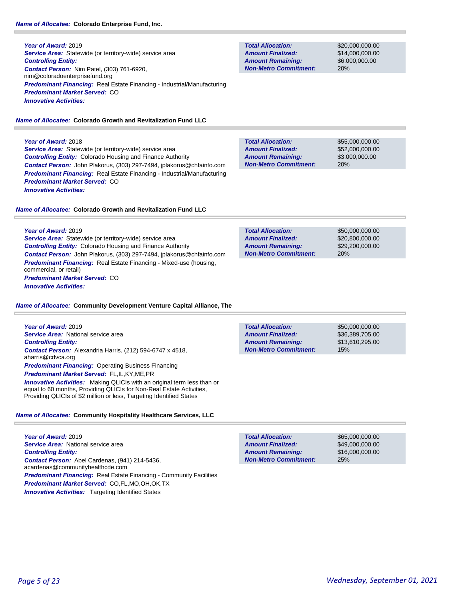## *Name of Allocatee:* **Colorado Enterprise Fund, Inc.**

**Year of Award:** 2019 **Service Area:** Statewide (or territory-wide) service area *Controlling Entity: Contact Person:* Nim Patel, (303) 761-6920, nim@coloradoenterprisefund.org *Predominant Financing:* Real Estate Financing - Industrial/Manufacturing *Predominant Market Served:* CO *Innovative Activities:* 

## *Name of Allocatee:* **Colorado Growth and Revitalization Fund LLC**

## **Year of Award:** 2018

**Service Area:** Statewide (or territory-wide) service area *Controlling Entity:* Colorado Housing and Finance Authority *Contact Person:* John Plakorus, (303) 297-7494, jplakorus@chfainfo.com *Predominant Financing:* Real Estate Financing - Industrial/Manufacturing *Predominant Market Served:* CO *Innovative Activities:* 

## *Name of Allocatee:* **Colorado Growth and Revitalization Fund LLC**

**Year of Award:** 2019 *Service Area:* Statewide (or territory-wide) service area *Controlling Entity:* Colorado Housing and Finance Authority *Contact Person:* John Plakorus, (303) 297-7494, jplakorus@chfainfo.com *Predominant Financing:* Real Estate Financing - Mixed-use (housing, commercial, or retail)

*Predominant Market Served:* CO *Innovative Activities:* 

## *Name of Allocatee:* **Community Development Venture Capital Alliance, The**

**Year of Award:** 2019 *Service Area:* National service area *Controlling Entity: Contact Person:* Alexandria Harris, (212) 594-6747 x 4518, aharris@cdvca.org **Predominant Financing: Operating Business Financing** *Predominant Market Served:* FL,IL,KY,ME,PR **Innovative Activities:** Making QLICIs with an original term less than or equal to 60 months, Providing QLICIs for Non-Real Estate Activities, Providing QLICIs of \$2 million or less, Targeting Identified States

# *Name of Allocatee:* **Community Hospitality Healthcare Services, LLC**

**Year of Award:** 2019 **Service Area:** National service area *Controlling Entity: Contact Person:* Abel Cardenas, (941) 214-5436, acardenas@communityhealthcde.com *Predominant Financing:* Real Estate Financing - Community Facilities *Predominant Market Served:* CO,FL,MO,OH,OK,TX **Innovative Activities:** Targeting Identified States

**Total Allocation: Non-Metro Commitment: Amount Remaining: Amount Finalized:**

\$20,000,000.00 \$14,000,000.00 \$6,000,000.00 20%

\$55,000,000.00 \$52,000,000.00 \$3,000,000.00 20% **Total Allocation: Non-Metro Commitment: Amount Remaining: Amount Finalized:**

\$50,000,000.00 \$20,800,000.00 \$29,200,000.00 20% **Total Allocation: Non-Metro Commitment: Amount Remaining: Amount Finalized:**

\$50,000,000.00 \$36,389,705.00 \$13,610,295.00 15% **Total Allocation: Non-Metro Commitment: Amount Remaining: Amount Finalized:**

25% **Total Allocation: Non-Metro Commitment: Amount Remaining: Amount Finalized:**

\$65,000,000.00 \$49,000,000.00 \$16,000,000.00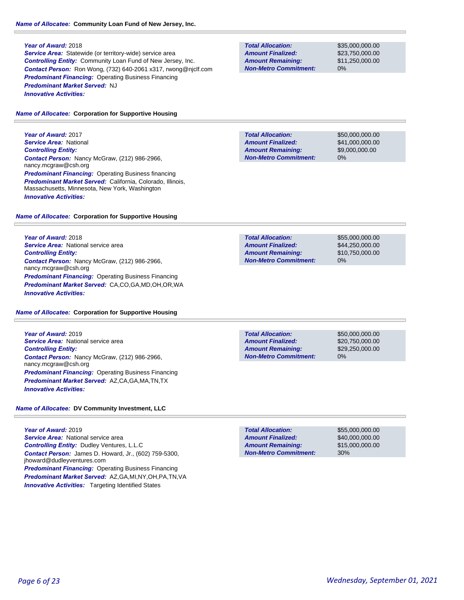**Service Area:** Statewide (or territory-wide) service area *Controlling Entity:* Community Loan Fund of New Jersey, Inc. *Contact Person:* Ron Wong, (732) 640-2061 x317, rwong@njclf.com *Predominant Financing:* Operating Business Financing *Predominant Market Served:* NJ *Innovative Activities:* 

#### *Name of Allocatee:* **Corporation for Supportive Housing**

**Year of Award:** 2017 *Service Area:* National *Controlling Entity: Contact Person:* Nancy McGraw, (212) 986-2966, nancy.mcgraw@csh.org **Predominant Financing: Operating Business financing** *Predominant Market Served:* California, Colorado, Illinois, Massachusetts, Minnesota, New York, Washington *Innovative Activities:* 

#### *Name of Allocatee:* **Corporation for Supportive Housing**

**Year of Award:** 2018 **Service Area:** National service area *Controlling Entity: Contact Person:* Nancy McGraw, (212) 986-2966, nancy.mcgraw@csh.org *Predominant Financing:* Operating Business Financing *Predominant Market Served:* CA,CO,GA,MD,OH,OR,WA *Innovative Activities:* 

#### *Name of Allocatee:* **Corporation for Supportive Housing**

**Year of Award:** 2019 **Service Area:** National service area *Controlling Entity: Contact Person:* Nancy McGraw, (212) 986-2966, nancy.mcgraw@csh.org *Predominant Financing:* Operating Business Financing *Predominant Market Served:* AZ,CA,GA,MA,TN,TX *Innovative Activities:* 

# *Name of Allocatee:* **DV Community Investment, LLC**

**Year of Award:** 2019 **Service Area:** National service area *Controlling Entity:* Dudley Ventures, L.L.C *Contact Person:* James D. Howard, Jr., (602) 759-5300, jhoward@dudleyventures.com **Predominant Financing: Operating Business Financing** *Predominant Market Served:* AZ,GA,MI,NY,OH,PA,TN,VA **Innovative Activities:** Targeting Identified States

**Total Allocation: Non-Metro Commitment: Amount Remaining: Amount Finalized:**

\$35,000,000.00 \$23,750,000.00 \$11,250,000.00 0%

**Total Allocation: Non-Metro Commitment: Amount Remaining: Amount Finalized:**

\$50,000,000.00 \$41,000,000.00 \$9,000,000.00 0%

**Total Allocation: Non-Metro Commitment: Amount Remaining: Amount Finalized:**

\$55,000,000.00 \$44,250,000.00 \$10,750,000.00 0%

**Total Allocation: Non-Metro Commitment: Amount Remaining: Amount Finalized:**

\$50,000,000.00 \$20,750,000.00 \$29,250,000.00 0%

\$55,000,000.00 \$40,000,000.00 \$15,000,000.00 30% **Total Allocation: Non-Metro Commitment: Amount Remaining: Amount Finalized:**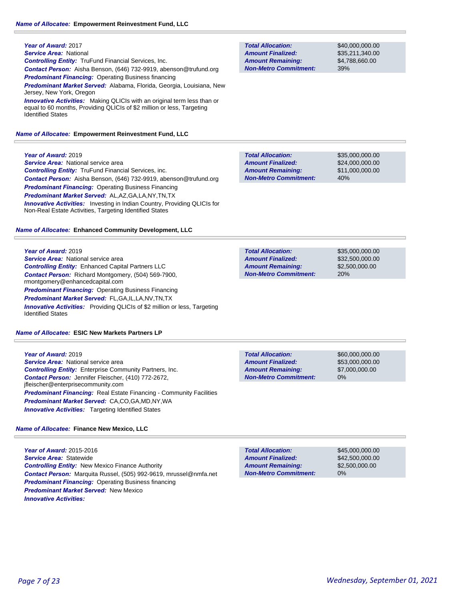**Year of Award:** 2017 *Service Area:* National *Controlling Entity:* TruFund Financial Services, Inc. *Contact Person:* Aisha Benson, (646) 732-9919, abenson@trufund.org **Predominant Financing: Operating Business financing** *Predominant Market Served:* Alabama, Florida, Georgia, Louisiana, New Jersey, New York, Oregon **Innovative Activities:** Making QLICIs with an original term less than or equal to 60 months, Providing QLICIs of \$2 million or less, Targeting Identified States

#### *Name of Allocatee:* **Empowerment Reinvestment Fund, LLC**

**Total Allocation: Non-Metro Commitment: Amount Remaining: Amount Finalized:**

\$40,000,000.00 \$35,211,340.00 \$4,788,660.00 39%

| Year of Award: 2019                                               | <b>Total Allocation:</b>     | \$35,000,000,00 |
|-------------------------------------------------------------------|------------------------------|-----------------|
| <b>Service Area:</b> National service area                        | <b>Amount Finalized:</b>     | \$24,000,000,00 |
| <b>Controlling Entity:</b> TruFund Financial Services, inc.       | <b>Amount Remaining:</b>     | \$11.000.000.00 |
| Contact Person: Aisha Benson, (646) 732-9919, abenson@trufund.org | <b>Non-Metro Commitment:</b> | 40%             |
| <b>Predominant Financing: Operating Business Financing</b>        |                              |                 |
| <b>Predominant Market Served: AL, AZ, GA, LA, NY, TN, TX</b>      |                              |                 |

*Name of Allocatee:* **Enhanced Community Development, LLC**

Non-Real Estate Activities, Targeting Identified States

**Innovative Activities:** Investing in Indian Country, Providing QLICIs for

| Year of Award: 2019                                                                                          | <b>Total Allocation:</b>     | \$35,000,000,00 |
|--------------------------------------------------------------------------------------------------------------|------------------------------|-----------------|
| <b>Service Area:</b> National service area                                                                   | <b>Amount Finalized:</b>     | \$32,500,000,00 |
| <b>Controlling Entity:</b> Enhanced Capital Partners LLC                                                     | <b>Amount Remaining:</b>     | \$2,500,000,00  |
| <b>Contact Person:</b> Richard Montgomery, (504) 569-7900,<br>rmontgomery@enhancedcapital.com                | <b>Non-Metro Commitment:</b> | 20%             |
| <b>Predominant Financing: Operating Business Financing</b>                                                   |                              |                 |
| <b>Predominant Market Served: FL,GA,IL,LA,NV,TN,TX</b>                                                       |                              |                 |
| <b>Innovative Activities:</b> Providing QLICIs of \$2 million or less, Targeting<br><b>Identified States</b> |                              |                 |

*Name of Allocatee:* **ESIC New Markets Partners LP**

| Year of Award: 2019                                                        |
|----------------------------------------------------------------------------|
| <b>Service Area:</b> National service area                                 |
| <b>Controlling Entity:</b> Enterprise Community Partners, Inc.             |
| <b>Contact Person:</b> Jennifer Fleischer, (410) 772-2672,                 |
| ifleischer@enterprisecommunity.com                                         |
| <b>Predominant Financing:</b> Real Estate Financing - Community Facilities |
| Predominant Market Served: CA,CO,GA,MD,NY,WA                               |
| <b>Innovative Activities:</b> Targeting Identified States                  |

*Name of Allocatee:* **Finance New Mexico, LLC**

**Year of Award:** 2015-2016 *Service Area:* Statewide *Controlling Entity:* New Mexico Finance Authority *Contact Person:* Marquita Russel, (505) 992-9619, mrussel@nmfa.net *Predominant Financing: Operating Business financing Predominant Market Served:* New Mexico *Innovative Activities:* 

| <b>Total Allocation:</b>     |
|------------------------------|
| <b>Amount Finalized:</b>     |
| <b>Amount Remaining:</b>     |
| <b>Non-Metro Commitment:</b> |

**Total Allocation:**

**Non-Metro Commitment: Amount Remaining: Amount Finalized:**

> \$45,000,000.00 \$42,500,000.00 \$2,500,000.00 0%

\$60,000,000.00 \$53,000,000.00 \$7,000,000.00

0%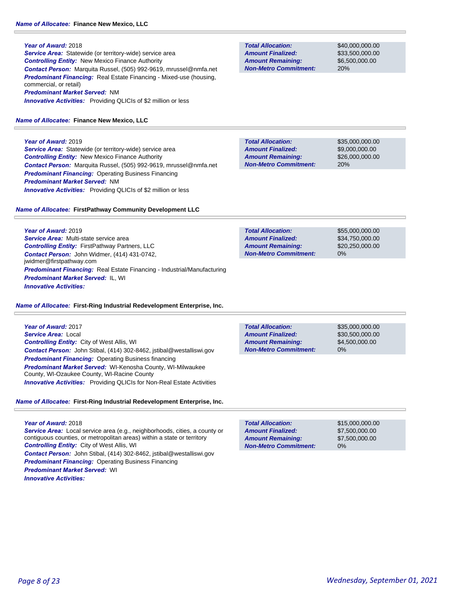**Service Area:** Statewide (or territory-wide) service area *Controlling Entity:* New Mexico Finance Authority *Contact Person:* Marquita Russel, (505) 992-9619, mrussel@nmfa.net **Predominant Financing:** Real Estate Financing - Mixed-use (housing, commercial, or retail) *Predominant Market Served:* NM *Innovative Activities:* Providing QLICIs of \$2 million or less

# *Name of Allocatee:* **Finance New Mexico, LLC**

**Year of Award:** 2019 *Service Area:* Statewide (or territory-wide) service area *Controlling Entity:* New Mexico Finance Authority *Contact Person:* Marquita Russel, (505) 992-9619, mrussel@nmfa.net *Predominant Financing:* Operating Business Financing *Predominant Market Served:* NM **Innovative Activities:** Providing QLICIs of \$2 million or less

# *Name of Allocatee:* **FirstPathway Community Development LLC**

**Year of Award:** 2019 *Service Area:* Multi-state service area *Controlling Entity:* FirstPathway Partners, LLC *Contact Person:* John Widmer, (414) 431-0742, jwidmer@firstpathway.com *Predominant Financing:* Real Estate Financing - Industrial/Manufacturing *Predominant Market Served:* IL, WI *Innovative Activities:* 

# *Name of Allocatee:* **First-Ring Industrial Redevelopment Enterprise, Inc.**

**Year of Award:** 2017 *Service Area:* Local *Controlling Entity:* City of West Allis, WI *Contact Person:* John Stibal, (414) 302-8462, jstibal@westalliswi.gov **Predominant Financing: Operating Business financing** *Predominant Market Served:* WI-Kenosha County, WI-Milwaukee County, WI-Ozaukee County, WI-Racine County *Innovative Activities:* Providing QLICIs for Non-Real Estate Activities

# *Name of Allocatee:* **First-Ring Industrial Redevelopment Enterprise, Inc.**

# **Year of Award:** 2018

*Service Area:* Local service area (e.g., neighborhoods, cities, a county or contiguous counties, or metropolitan areas) within a state or territory *Controlling Entity:* City of West Allis, WI *Contact Person:* John Stibal, (414) 302-8462, jstibal@westalliswi.gov *Predominant Financing:* Operating Business Financing *Predominant Market Served:* WI *Innovative Activities:* 

**Total Allocation: Non-Metro Commitment: Amount Remaining: Amount Finalized:**

\$40,000,000.00 \$33,500,000.00 \$6,500,000.00 20%

20% **Total Allocation: Non-Metro Commitment: Amount Remaining: Amount Finalized:**

\$35,000,000.00 \$9,000,000.00 \$26,000,000.00

\$55,000,000.00 \$34,750,000.00 \$20,250,000.00 0% **Total Allocation: Non-Metro Commitment: Amount Remaining: Amount Finalized:**

\$35,000,000.00 \$30,500,000.00 \$4,500,000.00 0% **Total Allocation: Non-Metro Commitment: Amount Remaining: Amount Finalized:**

\$15,000,000.00 \$7,500,000.00 \$7,500,000.00 0% **Total Allocation: Non-Metro Commitment: Amount Remaining: Amount Finalized:**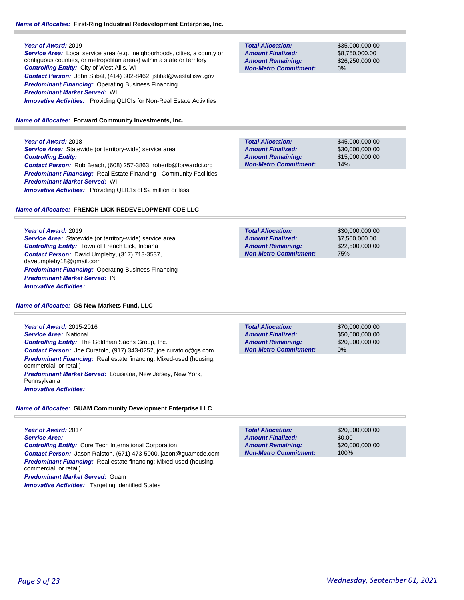#### *Name of Allocatee:* **First-Ring Industrial Redevelopment Enterprise, Inc.**

#### **Year of Award:** 2019

*Service Area:* Local service area (e.g., neighborhoods, cities, a county or contiguous counties, or metropolitan areas) within a state or territory *Controlling Entity:* City of West Allis, WI *Contact Person:* John Stibal, (414) 302-8462, jstibal@westalliswi.gov *Predominant Financing:* Operating Business Financing *Predominant Market Served:* WI *Innovative Activities:* Providing QLICIs for Non-Real Estate Activities

#### *Name of Allocatee:* **Forward Community Investments, Inc.**

**Year of Award:** 2018

**Service Area:** Statewide (or territory-wide) service area *Controlling Entity: Contact Person:* Rob Beach, (608) 257-3863, robertb@forwardci.org *Predominant Financing:* Real Estate Financing - Community Facilities *Predominant Market Served:* WI **Innovative Activities:** Providing QLICIs of \$2 million or less

#### *Name of Allocatee:* **FRENCH LICK REDEVELOPMENT CDE LLC**

**Year of Award:** 2019 *Service Area:* Statewide (or territory-wide) service area *Controlling Entity:* Town of French Lick, Indiana *Contact Person:* David Umpleby, (317) 713-3537, daveumpleby18@gmail.com **Predominant Financing: Operating Business Financing** *Predominant Market Served:* IN *Innovative Activities:* 

#### *Name of Allocatee:* **GS New Markets Fund, LLC**

**Year of Award:** 2015-2016 *Service Area:* National *Controlling Entity:* The Goldman Sachs Group, Inc. *Contact Person:* Joe Curatolo, (917) 343-0252, joe.curatolo@gs.com *Predominant Financing:* Real estate financing: Mixed-used (housing, commercial, or retail) *Predominant Market Served:* Louisiana, New Jersey, New York, Pennsylvania *Innovative Activities:* 

## *Name of Allocatee:* **GUAM Community Development Enterprise LLC**

**Year of Award:** 2017 *Service Area: Controlling Entity:* Core Tech International Corporation *Contact Person:* Jason Ralston, (671) 473-5000, jason@guamcde.com *Predominant Financing:* Real estate financing: Mixed-used (housing, commercial, or retail) *Predominant Market Served:* Guam

**Innovative Activities:** Targeting Identified States

| <b>Total Allocation:</b>     |
|------------------------------|
| <b>Amount Finalized:</b>     |
| <b>Amount Remaining:</b>     |
| <b>Non-Metro Commitment:</b> |

\$35,000,000.00 \$8,750,000.00 \$26,250,000.00 0%

\$45,000,000.00 \$30,000,000.00 \$15,000,000.00 14% **Total Allocation: Non-Metro Commitment: Amount Remaining: Amount Finalized:**

\$30,000,000.00 \$7,500,000.00 \$22,500,000.00 75% **Total Allocation: Non-Metro Commitment: Amount Remaining: Amount Finalized:**

0% **Total Allocation: Non-Metro Commitment: Amount Remaining: Amount Finalized:**

\$70,000,000.00 \$50,000,000.00 \$20,000,000.00

\$20,000,000.00 \$0.00 \$20,000,000.00 100% **Total Allocation: Non-Metro Commitment: Amount Remaining: Amount Finalized:**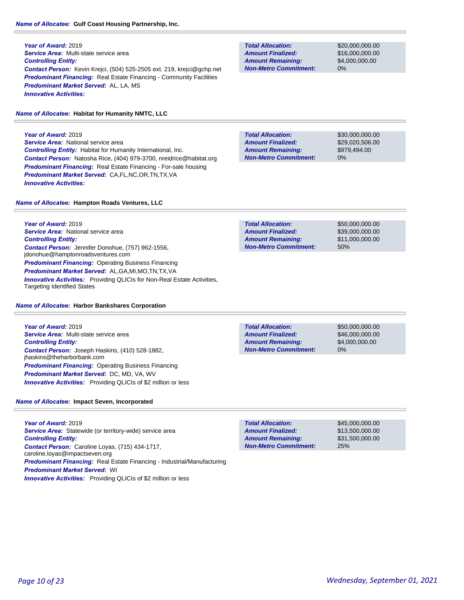# *Name of Allocatee:* **Gulf Coast Housing Partnership, Inc.**

**Year of Award:** 2019 *Service Area:* Multi-state service area *Controlling Entity: Contact Person:* Kevin Krejci, (504) 525-2505 ext. 219, krejci@gchp.net **Predominant Financing:** Real Estate Financing - Community Facilities *Predominant Market Served:* AL, LA, MS *Innovative Activities:* 

# *Name of Allocatee:* **Habitat for Humanity NMTC, LLC**

**Year of Award:** 2019 **Service Area:** National service area *Controlling Entity:* Habitat for Humanity International, Inc. *Contact Person:* Natosha Rice, (404) 979-3700, nreidrice@habitat.org *Predominant Financing:* Real Estate Financing - For-sale housing *Predominant Market Served:* CA,FL,NC,OR,TN,TX,VA *Innovative Activities:* 

**Total Allocation: Non-Metro Commitment: Amount Remaining: Amount Finalized:**

\$20,000,000.00 \$16,000,000.00 \$4,000,000.00 0%

**Total Allocation: Non-Metro Commitment: Amount Remaining: Amount Finalized:**

\$30,000,000.00 \$29,020,506.00 \$979,494.00 0%

*Name of Allocatee:* **Hampton Roads Ventures, LLC**

**Year of Award:** 2019 **Service Area:** National service area *Controlling Entity: Contact Person:* Jennifer Donohue, (757) 962-1556, jdonohue@hamptonroadsventures.com **Predominant Financing: Operating Business Financing** *Predominant Market Served:* AL,GA,MI,MO,TN,TX,VA *Innovative Activities:* Providing QLICIs for Non-Real Estate Activities, Targeting Identified States

## *Name of Allocatee:* **Harbor Bankshares Corporation**

**Year of Award:** 2019 *Service Area:* Multi-state service area *Controlling Entity: Contact Person:* Joseph Haskins, (410) 528-1882, jhaskins@theharborbank.com **Predominant Financing: Operating Business Financing** *Predominant Market Served:* DC, MD, VA, WV *Innovative Activities:* Providing QLICIs of \$2 million or less

## *Name of Allocatee:* **Impact Seven, Incorporated**

**Year of Award:** 2019 *Service Area:* Statewide (or territory-wide) service area *Controlling Entity: Contact Person:* Caroline Loyas, (715) 434-1717, caroline.loyas@impactseven.org *Predominant Financing:* Real Estate Financing - Industrial/Manufacturing *Predominant Market Served:* WI *Innovative Activities:* Providing QLICIs of \$2 million or less

**Total Allocation: Non-Metro Commitment: Amount Remaining: Amount Finalized:**

\$50,000,000.00 \$46,000,000.00 \$4,000,000.00 0%

\$45,000,000.00 \$13,500,000.00 \$31,500,000.00 25% **Total Allocation: Non-Metro Commitment: Amount Remaining: Amount Finalized:**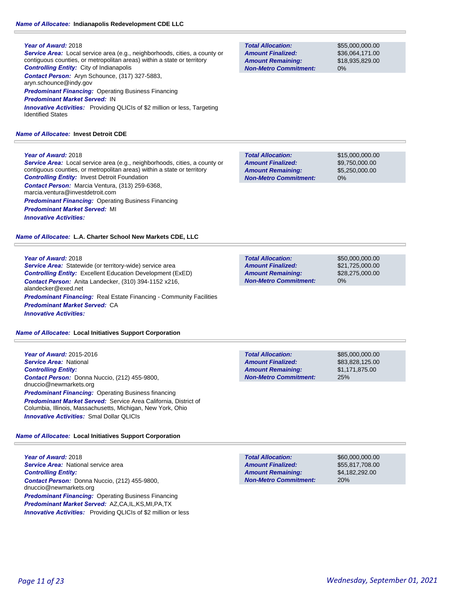## *Name of Allocatee:* **Indianapolis Redevelopment CDE LLC**

## **Year of Award:** 2018

*Service Area:* Local service area (e.g., neighborhoods, cities, a county or contiguous counties, or metropolitan areas) within a state or territory *Controlling Entity:* City of Indianapolis *Contact Person:* Aryn Schounce, (317) 327-5883, aryn.schounce@indy.gov *Predominant Financing:* Operating Business Financing *Predominant Market Served:* IN

*Innovative Activities:* Providing QLICIs of \$2 million or less, Targeting Identified States

## *Name of Allocatee:* **Invest Detroit CDE**

## **Year of Award:** 2018

*Service Area:* Local service area (e.g., neighborhoods, cities, a county or contiguous counties, or metropolitan areas) within a state or territory *Controlling Entity:* Invest Detroit Foundation *Contact Person:* Marcia Ventura, (313) 259-6368, marcia.ventura@investdetroit.com **Predominant Financing: Operating Business Financing** *Predominant Market Served:* MI *Innovative Activities:* 

*Name of Allocatee:* **L.A. Charter School New Markets CDE, LLC**

## **Year of Award:** 2018

*Service Area:* Statewide (or territory-wide) service area *Controlling Entity:* Excellent Education Development (ExED) *Contact Person:* Anita Landecker, (310) 394-1152 x216, alandecker@exed.net **Predominant Financing:** Real Estate Financing - Community Facilities *Predominant Market Served:* CA *Innovative Activities:* 

*Name of Allocatee:* **Local Initiatives Support Corporation**

**Year of Award:** 2015-2016 *Service Area:* National *Controlling Entity: Contact Person:* Donna Nuccio, (212) 455-9800, dnuccio@newmarkets.org *Predominant Financing:* Operating Business financing *Predominant Market Served:* Service Area California, District of Columbia, Illinois, Massachusetts, Michigan, New York, Ohio *Innovative Activities:* Smal Dollar QLICIs

# *Name of Allocatee:* **Local Initiatives Support Corporation**

**Year of Award:** 2018 *Service Area:* National service area *Controlling Entity: Contact Person:* Donna Nuccio, (212) 455-9800, dnuccio@newmarkets.org *Predominant Financing:* Operating Business Financing *Predominant Market Served:* AZ,CA,IL,KS,MI,PA,TX *Innovative Activities:* Providing QLICIs of \$2 million or less

**Total Allocation: Non-Metro Commitment: Amount Remaining: Amount Finalized:**

\$55,000,000.00 \$36,064,171.00 \$18,935,829.00 0%

\$15,000,000.00 \$9,750,000.00 \$5,250,000.00 0% **Total Allocation: Non-Metro Commitment: Amount Remaining: Amount Finalized:**

\$50,000,000.00 \$21,725,000.00 \$28,275,000.00 0% **Total Allocation: Non-Metro Commitment: Amount Remaining: Amount Finalized:**

\$85,000,000.00 \$83,828,125.00 \$1,171,875.00 25% **Total Allocation: Non-Metro Commitment: Amount Remaining: Amount Finalized:**

**Total Allocation: Non-Metro Commitment: Amount Remaining: Amount Finalized:**

\$60,000,000.00 \$55,817,708.00 \$4,182,292.00 20%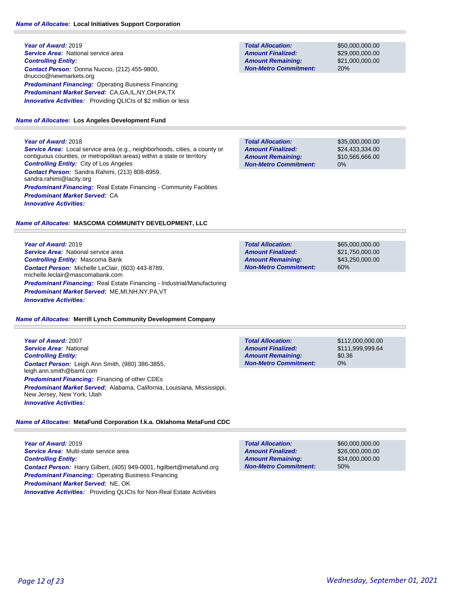# *Name of Allocatee:* **Local Initiatives Support Corporation**

**Year of Award:** 2019 **Service Area:** National service area *Controlling Entity: Contact Person:* Donna Nuccio, (212) 455-9800, dnuccio@newmarkets.org *Predominant Financing: Operating Business Financing Predominant Market Served:* CA,GA,IL,NY,OH,PA,TX **Innovative Activities:** Providing QLICIs of \$2 million or less

#### *Name of Allocatee:* **Los Angeles Development Fund**

#### **Year of Award:** 2018

*Service Area:* Local service area (e.g., neighborhoods, cities, a county or contiguous counties, or metropolitan areas) within a state or territory *Controlling Entity:* City of Los Angeles *Contact Person:* Sandra Rahimi, (213) 808-8959, sandra.rahimi@lacity.org **Predominant Financing:** Real Estate Financing - Community Facilities *Predominant Market Served:* CA *Innovative Activities:* 

## *Name of Allocatee:* **MASCOMA COMMUNITY DEVELOPMENT, LLC**

**Year of Award:** 2019 **Service Area:** National service area *Controlling Entity:* Mascoma Bank *Contact Person:* Michelle LeClair, (603) 443-8789, michelle.leclair@mascomabank.com *Predominant Financing:* Real Estate Financing - Industrial/Manufacturing *Predominant Market Served:* ME,MI,NH,NY,PA,VT *Innovative Activities:* 

#### *Name of Allocatee:* **Merrill Lynch Community Development Company**

**Year of Award:** 2007 *Service Area:* National *Controlling Entity: Contact Person:* Leigh Ann Smith, (980) 386-3855, leigh.ann.smith@baml.com *Predominant Financing:* Financing of other CDEs *Predominant Market Served:* Alabama, California, Louisiana, Mississippi, New Jersey, New York, Utah *Innovative Activities:* 

# *Name of Allocatee:* **MetaFund Corporation f.k.a. Oklahoma MetaFund CDC**

**Year of Award:** 2019 *Service Area:* Multi-state service area *Controlling Entity: Contact Person:* Harry Gilbert, (405) 949-0001, hgilbert@metafund.org *Predominant Financing:* Operating Business Financing *Predominant Market Served:* NE, OK *Innovative Activities:* Providing QLICIs for Non-Real Estate Activities

**Total Allocation: Non-Metro Commitment: Amount Remaining: Amount Finalized:**

\$50,000,000.00 \$29,000,000.00 \$21,000,000.00 20%

\$35,000,000.00 \$24,433,334.00 \$10,566,666.00 0% **Total Allocation: Non-Metro Commitment: Amount Remaining: Amount Finalized:**

| <b>Total Allocation:</b>     | \$65,000,000,00 |
|------------------------------|-----------------|
| <b>Amount Finalized:</b>     | \$21.750.000.00 |
| <b>Amount Remaining:</b>     | \$43.250,000.00 |
| <b>Non-Metro Commitment:</b> | 60%             |
|                              |                 |

| <b>Total Allocation:</b>     | \$112,000,000.00 |
|------------------------------|------------------|
| <b>Amount Finalized:</b>     | \$111.999.999.64 |
| <b>Amount Remaining:</b>     | \$0.36           |
| <b>Non-Metro Commitment:</b> | 0%               |

| <b>Total Allocation:</b>     | \$60,000,000,00 |
|------------------------------|-----------------|
| <b>Amount Finalized:</b>     | \$26,000,000,00 |
| <b>Amount Remaining:</b>     | \$34,000,000,00 |
| <b>Non-Metro Commitment:</b> | 50%             |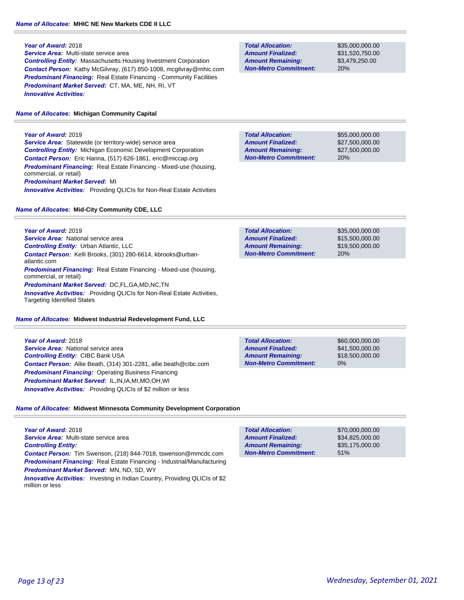## *Name of Allocatee:* **MHIC NE New Markets CDE II LLC**

#### **Year of Award:** 2018

*Service Area:* Multi-state service area *Controlling Entity:* Massachusetts Housing Investment Corporation *Contact Person:* Kathy McGilvray, (617) 850-1008, mcgilvray@mhic.com **Predominant Financing:** Real Estate Financing - Community Facilities *Predominant Market Served:* CT, MA, ME, NH, RI, VT *Innovative Activities:* 

#### *Name of Allocatee:* **Michigan Community Capital**

## **Year of Award:** 2019

*Service Area:* Statewide (or territory-wide) service area *Controlling Entity:* Michigan Economic Development Corporation *Contact Person:* Eric Hanna, (517) 626-1861, eric@miccap.org *Predominant Financing:* Real Estate Financing - Mixed-use (housing, commercial, or retail) *Predominant Market Served:* MI **Innovative Activities:** Providing QLICIs for Non-Real Estate Activities

#### *Name of Allocatee:* **Mid-City Community CDE, LLC**

**Year of Award:** 2019 *Service Area:* National service area *Controlling Entity:* Urban Atlantic, LLC *Contact Person:* Kelli Brooks, (301) 280-6614, kbrooks@urbanatlantic.com *Predominant Financing:* Real Estate Financing - Mixed-use (housing, commercial, or retail) *Predominant Market Served:* DC,FL,GA,MD,NC,TN **Innovative Activities:** Providing QLICIs for Non-Real Estate Activities, Targeting Identified States

#### *Name of Allocatee:* **Midwest Industrial Redevelopment Fund, LLC**

**Year of Award:** 2018 **Service Area:** National service area *Controlling Entity:* CIBC Bank USA *Contact Person:* Allie Beath, (314) 301-2281, allie.beath@cibc.com *Predominant Financing: Operating Business Financing Predominant Market Served:* IL,IN,IA,MI,MO,OH,WI *Innovative Activities:* Providing QLICIs of \$2 million or less

| <b>Total Allocation:</b>     | \$60,000,000 |
|------------------------------|--------------|
| <b>Amount Finalized:</b>     | \$41,500,000 |
| <b>Amount Remaining:</b>     | \$18,500,000 |
| <b>Non-Metro Commitment:</b> | 0%           |

## *Name of Allocatee:* **Midwest Minnesota Community Development Corporation**

**Year of Award:** 2018 *Service Area:* Multi-state service area *Controlling Entity: Contact Person:* Tim Swenson, (218) 844-7018, tswenson@mmcdc.com *Predominant Financing:* Real Estate Financing - Industrial/Manufacturing *Predominant Market Served:* MN, ND, SD, WY

*Innovative Activities:* Investing in Indian Country, Providing QLICIs of \$2 million or less

| <b>Total Allocation:</b>     | \$70,000,000,00 |
|------------------------------|-----------------|
| <b>Amount Finalized:</b>     | \$34.825.000.00 |
| <b>Amount Remaining:</b>     | \$35.175.000.00 |
| <b>Non-Metro Commitment:</b> | 51%             |

\$35,000,000.00 \$15,500,000.00 \$19,500,000.00 20% **Total Allocation: Non-Metro Commitment: Amount Remaining: Amount Finalized:**

**Total Allocation: Amount Remaining: Amount Finalized:**

**Non-Metro Commitment:**

**Total Allocation:**

**Non-Metro Commitment: Amount Remaining: Amount Finalized:**

\$31,520,750.00 \$3,479,250.00 20%

\$55,000,000.00 \$27,500,000.00 \$27,500,000.00

20%

\$35,000,000.00

.00 .00 .00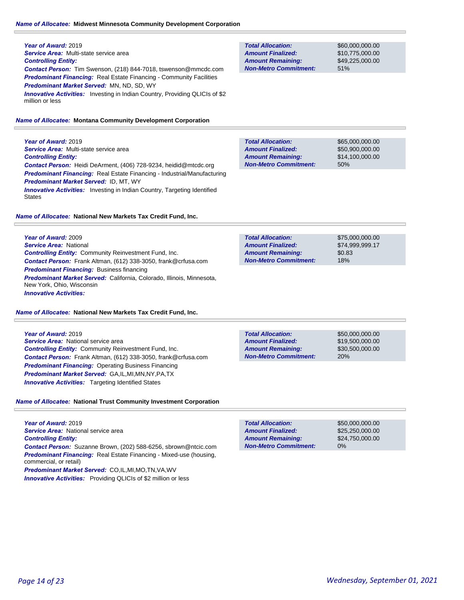**Year of Award:** 2019 *Service Area:* Multi-state service area *Controlling Entity: Contact Person:* Tim Swenson, (218) 844-7018, tswenson@mmcdc.com **Predominant Financing:** Real Estate Financing - Community Facilities *Predominant Market Served:* MN, ND, SD, WY **Innovative Activities:** Investing in Indian Country, Providing QLICIs of \$2 million or less

# *Name of Allocatee:* **Montana Community Development Corporation**

**Year of Award:** 2019 *Service Area:* Multi-state service area *Controlling Entity: Contact Person:* Heidi DeArment, (406) 728-9234, heidid@mtcdc.org *Predominant Financing:* Real Estate Financing - Industrial/Manufacturing *Predominant Market Served:* ID, MT, WY **Innovative Activities:** Investing in Indian Country, Targeting Identified **States** 

# *Name of Allocatee:* **National New Markets Tax Credit Fund, Inc.**

**Year of Award:** 2009 *Service Area:* National *Controlling Entity:* Community Reinvestment Fund, Inc. *Contact Person:* Frank Altman, (612) 338-3050, frank@crfusa.com *Predominant Financing:* Business financing *Predominant Market Served:* California, Colorado, Illinois, Minnesota, New York, Ohio, Wisconsin *Innovative Activities:* 

# *Name of Allocatee:* **National New Markets Tax Credit Fund, Inc.**

**Year of Award:** 2019 **Service Area:** National service area *Controlling Entity:* Community Reinvestment Fund, Inc. *Contact Person:* Frank Altman, (612) 338-3050, frank@crfusa.com *Predominant Financing:* Operating Business Financing *Predominant Market Served:* GA,IL,MI,MN,NY,PA,TX *Innovative Activities:* Targeting Identified States

# *Name of Allocatee:* **National Trust Community Investment Corporation**

**Year of Award:** 2019 *Service Area:* National service area *Controlling Entity: Contact Person:* Suzanne Brown, (202) 588-6256, sbrown@ntcic.com *Predominant Financing:* Real Estate Financing - Mixed-use (housing, commercial, or retail) *Predominant Market Served:* CO,IL,MI,MO,TN,VA,WV

*Innovative Activities:* Providing QLICIs of \$2 million or less

#### \$60,000,000.00 \$10,775,000.00 51% **Total Allocation: Non-Metro Commitment: Amount Remaining: Amount Finalized:**

\$49,225,000.00

\$65,000,000.00 \$50,900,000.00 \$14,100,000.00 50% **Total Allocation: Non-Metro Commitment: Amount Remaining: Amount Finalized:**

\$75,000,000.00 \$74,999,999.17 \$0.83 18% **Total Allocation: Non-Metro Commitment: Amount Remaining: Amount Finalized:**

**Total Allocation: Non-Metro Commitment: Amount Remaining: Amount Finalized:**

\$50,000,000.00 \$19,500,000.00 \$30,500,000.00 20%

\$50,000,000.00 \$25,250,000.00 \$24,750,000.00 0% **Total Allocation: Non-Metro Commitment: Amount Remaining: Amount Finalized:**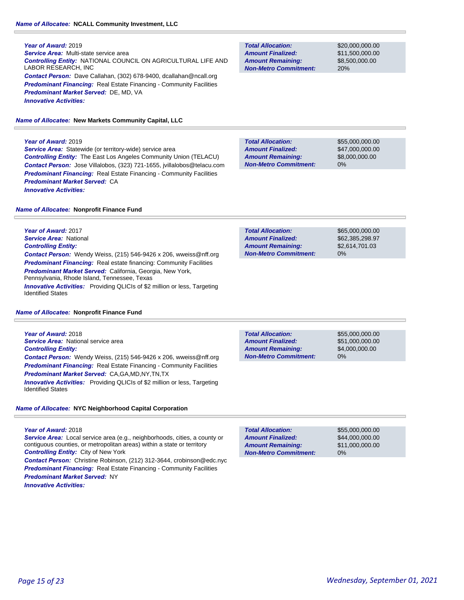*Service Area:* Multi-state service area *Controlling Entity:* NATIONAL COUNCIL ON AGRICULTURAL LIFE AND LABOR RESEARCH, INC *Contact Person:* Dave Callahan, (302) 678-9400, dcallahan@ncall.org **Predominant Financing:** Real Estate Financing - Community Facilities *Predominant Market Served:* DE, MD, VA *Innovative Activities:* 

*Name of Allocatee:* **New Markets Community Capital, LLC**

#### **Year of Award:** 2019

**Service Area:** Statewide (or territory-wide) service area *Controlling Entity:* The East Los Angeles Community Union (TELACU) *Contact Person:* Jose Villalobos, (323) 721-1655, jvillalobos@telacu.com *Predominant Financing:* Real Estate Financing - Community Facilities *Predominant Market Served:* CA *Innovative Activities:* 

#### *Name of Allocatee:* **Nonprofit Finance Fund**

**Year of Award:** 2017 *Service Area:* National *Controlling Entity: Contact Person:* Wendy Weiss, (215) 546-9426 x 206, wweiss@nff.org **Predominant Financing:** Real estate financing: Community Facilities *Predominant Market Served:* California, Georgia, New York, Pennsylvania, Rhode Island, Tennessee, Texas *Innovative Activities:* Providing QLICIs of \$2 million or less, Targeting Identified States

#### *Name of Allocatee:* **Nonprofit Finance Fund**

**Year of Award:** 2018 **Service Area:** National service area *Controlling Entity: Contact Person:* Wendy Weiss, (215) 546-9426 x 206, wweiss@nff.org **Predominant Financing:** Real Estate Financing - Community Facilities *Predominant Market Served:* CA,GA,MD,NY,TN,TX

*Innovative Activities:* Providing QLICIs of \$2 million or less, Targeting Identified States

#### *Name of Allocatee:* **NYC Neighborhood Capital Corporation**

**Year of Award:** 2018 *Service Area:* Local service area (e.g., neighborhoods, cities, a county or contiguous counties, or metropolitan areas) within a state or territory *Controlling Entity:* City of New York *Contact Person:* Christine Robinson, (212) 312-3644, crobinson@edc.nyc **Predominant Financing:** Real Estate Financing - Community Facilities *Predominant Market Served:* NY *Innovative Activities:* 

**Total Allocation: Non-Metro Commitment: Amount Remaining: Amount Finalized:**

\$20,000,000.00 \$11,500,000.00 \$8,500,000.00 20%

\$55,000,000.00 \$47,000,000.00 \$8,000,000.00 0% **Total Allocation: Non-Metro Commitment: Amount Remaining: Amount Finalized:**

\$65,000,000.00 \$62,385,298.97 \$2,614,701.03 0% **Total Allocation: Non-Metro Commitment: Amount Remaining: Amount Finalized:**

**Total Allocation: Non-Metro Commitment: Amount Remaining: Amount Finalized:**

\$55,000,000.00 \$51,000,000.00 \$4,000,000.00 0%

\$55,000,000.00 \$44,000,000.00 \$11,000,000.00 0% **Total Allocation: Non-Metro Commitment: Amount Remaining: Amount Finalized:**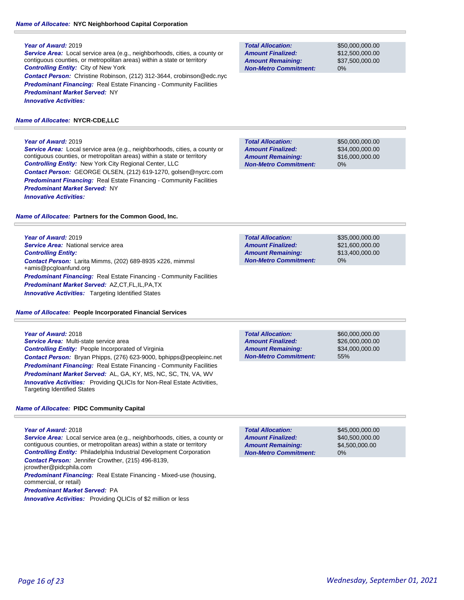# *Name of Allocatee:* **NYC Neighborhood Capital Corporation**

## **Year of Award:** 2019

*Service Area:* Local service area (e.g., neighborhoods, cities, a county or contiguous counties, or metropolitan areas) within a state or territory *Controlling Entity:* City of New York *Contact Person:* Christine Robinson, (212) 312-3644, crobinson@edc.nyc **Predominant Financing:** Real Estate Financing - Community Facilities *Predominant Market Served:* NY *Innovative Activities:* 

# *Name of Allocatee:* **NYCR-CDE,LLC**

# **Year of Award:** 2019

*Service Area:* Local service area (e.g., neighborhoods, cities, a county or contiguous counties, or metropolitan areas) within a state or territory *Controlling Entity:* New York City Regional Center, LLC *Contact Person:* GEORGE OLSEN, (212) 619-1270, golsen@nycrc.com **Predominant Financing:** Real Estate Financing - Community Facilities *Predominant Market Served:* NY *Innovative Activities:* 

*Name of Allocatee:* **Partners for the Common Good, Inc.**

**Year of Award:** 2019 **Service Area:** National service area *Controlling Entity: Contact Person:* Larita Mimms, (202) 689-8935 x226, mimmsl +amis@pcgloanfund.org *Predominant Financing:* Real Estate Financing - Community Facilities *Predominant Market Served:* AZ,CT,FL,IL,PA,TX **Innovative Activities:** Targeting Identified States

*Name of Allocatee:* **People Incorporated Financial Services**

## **Year of Award:** 2018

*Service Area:* Multi-state service area *Controlling Entity:* People Incorporated of Virginia *Contact Person:* Bryan Phipps, (276) 623-9000, bphipps@peopleinc.net **Predominant Financing:** Real Estate Financing - Community Facilities *Predominant Market Served:* AL, GA, KY, MS, NC, SC, TN, VA, WV *Innovative Activities:* Providing QLICIs for Non-Real Estate Activities, Targeting Identified States

# *Name of Allocatee:* **PIDC Community Capital**

## **Year of Award:** 2018

*Service Area:* Local service area (e.g., neighborhoods, cities, a county or contiguous counties, or metropolitan areas) within a state or territory *Controlling Entity:* Philadelphia Industrial Development Corporation *Contact Person:* Jennifer Crowther, (215) 496-8139, jcrowther@pidcphila.com *Predominant Financing:* Real Estate Financing - Mixed-use (housing,

commercial, or retail)

*Predominant Market Served:* PA

*Innovative Activities:* Providing QLICIs of \$2 million or less

| <b>Total Allocation:</b>     |  |  |
|------------------------------|--|--|
| <b>Amount Finalized:</b>     |  |  |
| <b>Amount Remaining:</b>     |  |  |
| <b>Non-Metro Commitment:</b> |  |  |

\$50,000,000.00 \$12,500,000.00 \$37,500,000.00 0%

\$50,000,000.00 \$34,000,000.00 \$16,000,000.00 0% **Total Allocation: Non-Metro Commitment: Amount Remaining: Amount Finalized:**

**Total Allocation: Non-Metro Commitment: Amount Remaining: Amount Finalized:**

\$35,000,000.00 \$21,600,000.00 \$13,400,000.00 0%

**Total Allocation: Non-Metro Commitment: Amount Remaining: Amount Finalized:**

\$60,000,000.00 \$26,000,000.00 \$34,000,000.00 55%

\$45,000,000.00 \$40,500,000.00 \$4,500,000.00 0% **Total Allocation: Non-Metro Commitment: Amount Remaining: Amount Finalized:**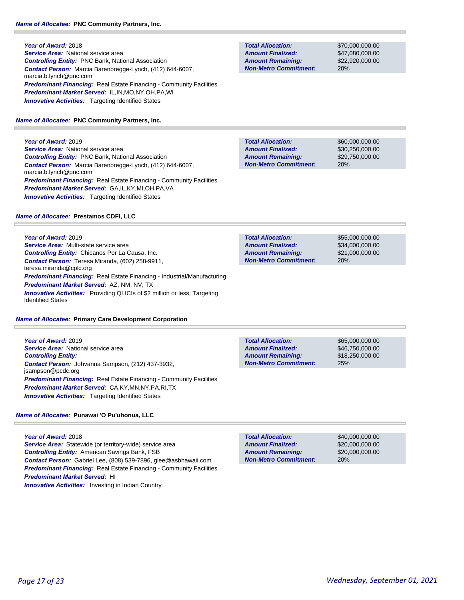**Year of Award:** 2018 **Service Area:** National service area *Controlling Entity:* PNC Bank, National Association *Contact Person:* Marcia Barenbregge-Lynch, (412) 644-6007, marcia.b.lynch@pnc.com **Predominant Financing:** Real Estate Financing - Community Facilities *Predominant Market Served:* IL,IN,MO,NY,OH,PA,WI **Innovative Activities:** Targeting Identified States

*Name of Allocatee:* **PNC Community Partners, Inc.**

**Year of Award:** 2019

**Service Area:** National service area *Controlling Entity:* PNC Bank, National Association *Contact Person:* Marcia Barenbregge-Lynch, (412) 644-6007, marcia.b.lynch@pnc.com **Predominant Financing:** Real Estate Financing - Community Facilities *Predominant Market Served:* GA,IL,KY,MI,OH,PA,VA **Innovative Activities:** Targeting Identified States

# *Name of Allocatee:* **Prestamos CDFI, LLC**

**Year of Award:** 2019 *Service Area:* Multi-state service area *Controlling Entity:* Chicanos Por La Causa, Inc. *Contact Person:* Teresa Miranda, (602) 258-9911, teresa.miranda@cplc.org *Predominant Financing:* Real Estate Financing - Industrial/Manufacturing *Predominant Market Served:* AZ, NM, NV, TX **Innovative Activities:** Providing QLICIs of \$2 million or less, Targeting Identified States

# *Name of Allocatee:* **Primary Care Development Corporation**

**Year of Award:** 2019 **Service Area:** National service area *Controlling Entity: Contact Person:* Johvanna Sampson, (212) 437-3932, jsampson@pcdc.org *Predominant Financing:* Real Estate Financing - Community Facilities *Predominant Market Served:* CA,KY,MN,NY,PA,RI,TX *Innovative Activities:* Targeting Identified States

# *Name of Allocatee:* **Punawai 'O Pu'uhonua, LLC**

**Year of Award:** 2018 **Service Area:** Statewide (or territory-wide) service area *Controlling Entity:* American Savings Bank, FSB *Contact Person:* Gabriel Lee, (808) 539-7896, glee@asbhawaii.com **Predominant Financing:** Real Estate Financing - Community Facilities *Predominant Market Served:* HI **Innovative Activities:** Investing in Indian Country

**Total Allocation: Non-Metro Commitment: Amount Remaining: Amount Finalized:**

\$70,000,000.00 \$47,080,000.00 \$22,920,000.00 20%

\$60,000,000.00 \$30,250,000.00 \$29,750,000.00 20% **Total Allocation: Non-Metro Commitment: Amount Remaining: Amount Finalized:**

**Total Allocation: Non-Metro Commitment: Amount Remaining: Amount Finalized:**

\$55,000,000.00 \$34,000,000.00 \$21,000,000.00 20%

**Total Allocation: Non-Metro Commitment: Amount Remaining: Amount Finalized:**

\$65,000,000.00 \$46,750,000.00 \$18,250,000.00 25%

20% **Total Allocation: Non-Metro Commitment: Amount Remaining: Amount Finalized:**

\$40,000,000.00 \$20,000,000.00 \$20,000,000.00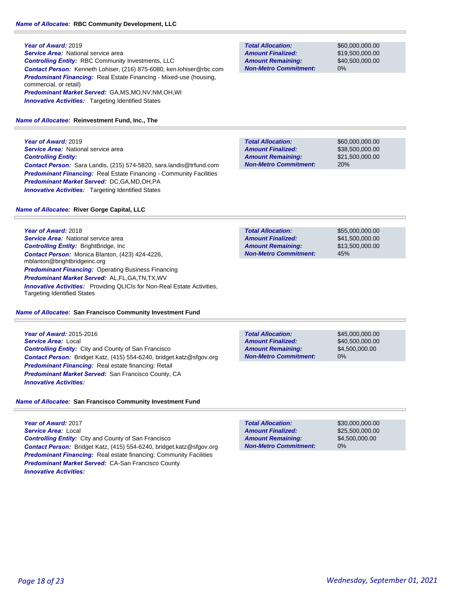**Year of Award:** 2019 **Service Area:** National service area *Controlling Entity:* RBC Community Investments, LLC *Contact Person:* Kenneth Lohiser, (216) 875-6080, ken.lohiser@rbc.com *Predominant Financing:* Real Estate Financing - Mixed-use (housing, commercial, or retail) *Predominant Market Served:* GA,MS,MO,NV,NM,OH,WI **Innovative Activities:** Targeting Identified States

#### *Name of Allocatee:* **Reinvestment Fund, Inc., The**

**Year of Award:** 2019 **Service Area:** National service area *Controlling Entity: Contact Person:* Sara Landis, (215) 574-5820, sara.landis@trfund.com *Predominant Financing:* Real Estate Financing - Community Facilities *Predominant Market Served:* DC,GA,MD,OH,PA **Innovative Activities:** Targeting Identified States

#### *Name of Allocatee:* **River Gorge Capital, LLC**

**Year of Award:** 2018 **Service Area:** National service area *Controlling Entity:* BrightBridge, Inc *Contact Person:* Monica Blanton, (423) 424-4226, mblanton@brightbridgeinc.org *Predominant Financing:* Operating Business Financing *Predominant Market Served:* AL,FL,GA,TN,TX,WV *Innovative Activities:* Providing QLICIs for Non-Real Estate Activities, Targeting Identified States

#### *Name of Allocatee:* **San Francisco Community Investment Fund**

**Year of Award:** 2015-2016 *Service Area:* Local *Controlling Entity:* City and County of San Francisco *Contact Person:* Bridget Katz, (415) 554-6240, bridget.katz@sfgov.org *Predominant Financing:* Real estate financing: Retail *Predominant Market Served:* San Francisco County, CA *Innovative Activities:* 

# *Name of Allocatee:* **San Francisco Community Investment Fund**

**Year of Award:** 2017 *Service Area:* Local *Controlling Entity:* City and County of San Francisco *Contact Person:* Bridget Katz, (415) 554-6240, bridget.katz@sfgov.org *Predominant Financing:* Real estate financing: Community Facilities *Predominant Market Served:* CA-San Francisco County *Innovative Activities:* 

**Total Allocation: Non-Metro Commitment: Amount Remaining: Amount Finalized:**

\$60,000,000.00 \$19,500,000.00 \$40,500,000.00 0%

\$60,000,000.00 \$38,500,000.00 \$21,500,000.00 20% **Total Allocation: Non-Metro Commitment: Amount Remaining: Amount Finalized:**

\$55,000,000.00 \$41,500,000.00 \$13,500,000.00 45% **Total Allocation: Non-Metro Commitment: Amount Remaining: Amount Finalized:**

**Total Allocation: Non-Metro Commitment: Amount Remaining: Amount Finalized:**

\$45,000,000.00 \$40,500,000.00 \$4,500,000.00 0%

0% **Total Allocation: Non-Metro Commitment: Amount Remaining: Amount Finalized:**

\$30,000,000.00 \$25,500,000.00 \$4,500,000.00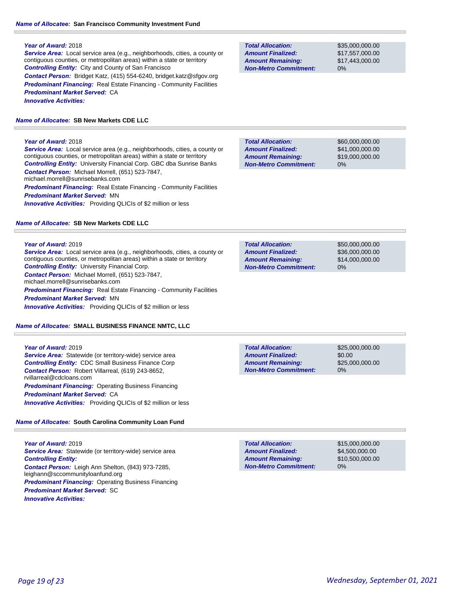*Service Area:* Local service area (e.g., neighborhoods, cities, a county or contiguous counties, or metropolitan areas) within a state or territory *Controlling Entity:* City and County of San Francisco *Contact Person:* Bridget Katz, (415) 554-6240, bridget.katz@sfgov.org **Predominant Financing:** Real Estate Financing - Community Facilities *Predominant Market Served:* CA *Innovative Activities:* 

# *Name of Allocatee:* **SB New Markets CDE LLC**

## **Year of Award:** 2018

*Service Area:* Local service area (e.g., neighborhoods, cities, a county or contiguous counties, or metropolitan areas) within a state or territory *Controlling Entity:* University Financial Corp. GBC dba Sunrise Banks *Contact Person:* Michael Morrell, (651) 523-7847, michael.morrell@sunrisebanks.com **Predominant Financing:** Real Estate Financing - Community Facilities *Predominant Market Served:* MN **Innovative Activities:** Providing QLICIs of \$2 million or less

# *Name of Allocatee:* **SB New Markets CDE LLC**

## **Year of Award:** 2019

*Service Area:* Local service area (e.g., neighborhoods, cities, a county or contiguous counties, or metropolitan areas) within a state or territory *Controlling Entity:* University Financial Corp. *Contact Person:* Michael Morrell, (651) 523-7847, michael.morrell@sunrisebanks.com **Predominant Financing:** Real Estate Financing - Community Facilities *Predominant Market Served:* MN *Innovative Activities:* Providing QLICIs of \$2 million or less

# *Name of Allocatee:* **SMALL BUSINESS FINANCE NMTC, LLC**

**Year of Award:** 2019 **Service Area:** Statewide (or territory-wide) service area *Controlling Entity:* CDC Small Business Finance Corp *Contact Person:* Robert Villarreal, (619) 243-8652, rvillarreal@cdcloans.com **Predominant Financing: Operating Business Financing** *Predominant Market Served:* CA *Innovative Activities:* Providing QLICIs of \$2 million or less

# *Name of Allocatee:* **South Carolina Community Loan Fund**

**Year of Award:** 2019 **Service Area:** Statewide (or territory-wide) service area *Controlling Entity: Contact Person:* Leigh Ann Shelton, (843) 973-7285, leighann@sccommunityloanfund.org *Predominant Financing:* Operating Business Financing *Predominant Market Served:* SC *Innovative Activities:* 

**Total Allocation: Non-Metro Commitment: Amount Remaining: Amount Finalized:**

\$35,000,000.00 \$17,557,000.00 \$17,443,000.00 0%

\$60,000,000.00 \$41,000,000.00 \$19,000,000.00 0% **Total Allocation: Non-Metro Commitment: Amount Remaining: Amount Finalized:**

\$50,000,000.00 \$36,000,000.00 \$14,000,000.00 0% **Total Allocation: Non-Metro Commitment: Amount Remaining: Amount Finalized:**

**Total Allocation: Non-Metro Commitment: Amount Remaining: Amount Finalized:**

\$25,000,000.00 \$0.00 \$25,000,000.00 0%

**Total Allocation: Non-Metro Commitment: Amount Remaining: Amount Finalized:**

\$15,000,000.00 \$4,500,000.00 \$10,500,000.00 0%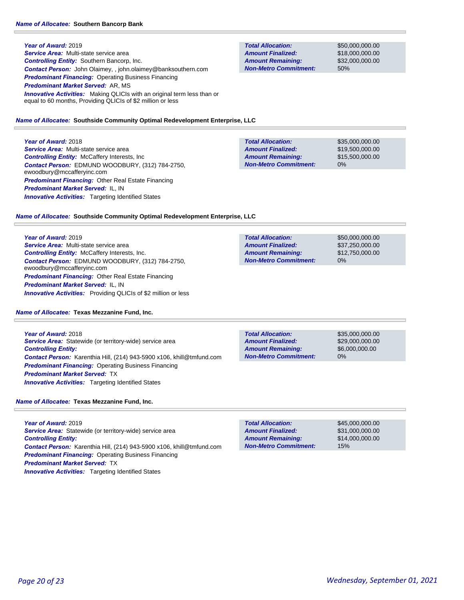**Year of Award:** 2019 *Service Area:* Multi-state service area *Controlling Entity:* Southern Bancorp, Inc. *Contact Person:* John Olaimey, , john.olaimey@banksouthern.com *Predominant Financing:* Operating Business Financing *Predominant Market Served:* AR, MS **Innovative Activities:** Making QLICIs with an original term less than or equal to 60 months, Providing QLICIs of \$2 million or less

**Total Allocation: Non-Metro Commitment: Amount Remaining: Amount Finalized:**

\$50,000,000.00 \$18,000,000.00 \$32,000,000.00 50%

#### *Name of Allocatee:* **Southside Community Optimal Redevelopment Enterprise, LLC**

**Year of Award:** 2018

*Service Area:* Multi-state service area *Controlling Entity:* McCaffery Interests, Inc *Contact Person:* EDMUND WOODBURY, (312) 784-2750, ewoodbury@mccafferyinc.com *Predominant Financing:* Other Real Estate Financing *Predominant Market Served:* IL, IN **Innovative Activities:** Targeting Identified States

| <b>Total Allocation:</b>     | \$35,000,000.00 |
|------------------------------|-----------------|
| <b>Amount Finalized:</b>     | \$19,500,000.00 |
| <b>Amount Remaining:</b>     | \$15,500,000.00 |
| <b>Non-Metro Commitment:</b> | $0\%$           |

#### *Name of Allocatee:* **Southside Community Optimal Redevelopment Enterprise, LLC**

**Year of Award:** 2019

*Service Area:* Multi-state service area *Controlling Entity:* McCaffery Interests, Inc. *Contact Person:* EDMUND WOODBURY, (312) 784-2750, ewoodbury@mccafferyinc.com *Predominant Financing:* Other Real Estate Financing *Predominant Market Served:* IL, IN *Innovative Activities:* Providing QLICIs of \$2 million or less

#### *Name of Allocatee:* **Texas Mezzanine Fund, Inc.**

**Year of Award:** 2018 *Service Area:* Statewide (or territory-wide) service area *Controlling Entity: Contact Person:* Karenthia Hill, (214) 943-5900 x106, khill@tmfund.com *Predominant Financing:* Operating Business Financing *Predominant Market Served:* TX *Innovative Activities:* Targeting Identified States

**Total Allocation: Non-Metro Commitment: Amount Remaining: Amount Finalized:**

**Total Allocation:**

**Non-Metro Commitment: Amount Remaining: Amount Finalized:**

> \$35,000,000.00 \$29,000,000.00 \$6,000,000.00 0%

\$50,000,000.00 \$37,250,000.00 \$12,750,000.00

0%

*Name of Allocatee:* **Texas Mezzanine Fund, Inc.**

**Year of Award:** 2019 *Service Area:* Statewide (or territory-wide) service area *Controlling Entity: Contact Person:* Karenthia Hill, (214) 943-5900 x106, khill@tmfund.com **Predominant Financing: Operating Business Financing** *Predominant Market Served:* TX **Innovative Activities:** Targeting Identified States

| <b>Total Allocation:</b>     | \$45,000,000,00 |
|------------------------------|-----------------|
| <b>Amount Finalized:</b>     | \$31,000,000,00 |
| <b>Amount Remaining:</b>     | \$14,000,000,00 |
| <b>Non-Metro Commitment:</b> | 15%             |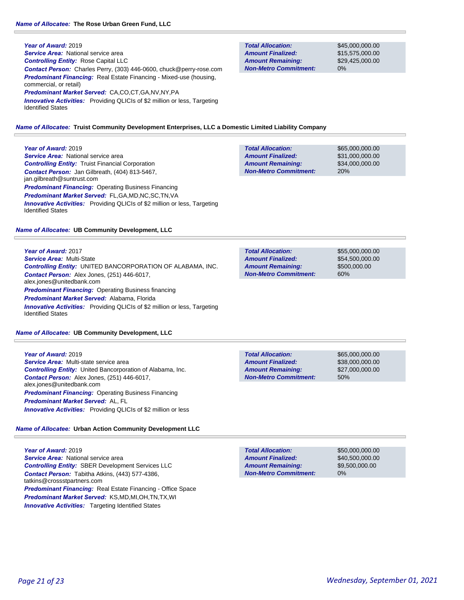**Year of Award:** 2019 **Service Area:** National service area *Controlling Entity:* Rose Capital LLC *Contact Person:* Charles Perry, (303) 446-0600, chuck@perry-rose.com **Predominant Financing:** Real Estate Financing - Mixed-use (housing, commercial, or retail) *Predominant Market Served:* CA,CO,CT,GA,NV,NY,PA **Innovative Activities:** Providing QLICIs of \$2 million or less, Targeting

Identified States

*Name of Allocatee:* **Truist Community Development Enterprises, LLC a Domestic Limited Liability Company**

# **Year of Award:** 2019

**Service Area:** National service area *Controlling Entity:* Truist Financial Corporation *Contact Person:* Jan Gilbreath, (404) 813-5467, jan.gilbreath@suntrust.com **Predominant Financing: Operating Business Financing** *Predominant Market Served:* FL,GA,MD,NC,SC,TN,VA *Innovative Activities:* Providing QLICIs of \$2 million or less, Targeting Identified States

## *Name of Allocatee:* **UB Community Development, LLC**

**Year of Award:** 2017 *Service Area:* Multi-State *Controlling Entity:* UNITED BANCORPORATION OF ALABAMA, INC. *Contact Person:* Alex Jones, (251) 446-6017, alex.jones@unitedbank.com *Predominant Financing: Operating Business financing Predominant Market Served:* Alabama, Florida *Innovative Activities:* Providing QLICIs of \$2 million or less, Targeting Identified States

*Name of Allocatee:* **UB Community Development, LLC**

## **Year of Award:** 2019 *Service Area:* Multi-state service area *Controlling Entity:* United Bancorporation of Alabama, Inc. *Contact Person:* Alex Jones, (251) 446-6017, alex.jones@unitedbank.com **Predominant Financing: Operating Business Financing** *Predominant Market Served:* AL, FL **Innovative Activities:** Providing QLICIs of \$2 million or less

*Name of Allocatee:* **Urban Action Community Development LLC**

**Year of Award:** 2019 **Service Area:** National service area *Controlling Entity:* SBER Development Services LLC *Contact Person:* Tabitha Atkins, (443) 577-4386, tatkins@crossstpartners.com *Predominant Financing:* Real Estate Financing - Office Space *Predominant Market Served:* KS,MD,MI,OH,TN,TX,WI **Innovative Activities:** Targeting Identified States

**Total Allocation: Non-Metro Commitment: Amount Remaining: Amount Finalized:**

\$45,000,000.00 \$15,575,000.00 \$29,425,000.00 0%

\$65,000,000.00 \$31,000,000.00 \$34,000,000.00 20% **Total Allocation: Non-Metro Commitment: Amount Remaining: Amount Finalized:**

\$55,000,000.00 \$54,500,000.00 \$500,000.00 60% **Total Allocation: Non-Metro Commitment: Amount Remaining: Amount Finalized:**

\$65,000,000.00 \$38,000,000.00 \$27,000,000.00 50% **Total Allocation: Non-Metro Commitment: Amount Remaining: Amount Finalized:**

**Total Allocation: Non-Metro Commitment: Amount Remaining: Amount Finalized:**

\$50,000,000.00 \$40,500,000.00 \$9,500,000.00 0%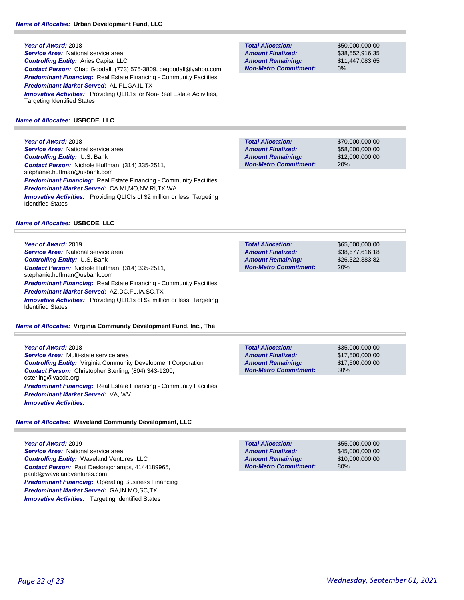**Year of Award:** 2018 *Service Area:* National service area *Controlling Entity:* Aries Capital LLC *Contact Person:* Chad Goodall, (773) 575-3809, cegoodall@yahoo.com *Predominant Financing:* Real Estate Financing - Community Facilities *Predominant Market Served:* AL,FL,GA,IL,TX **Innovative Activities:** Providing QLICIs for Non-Real Estate Activities, Targeting Identified States

## *Name of Allocatee:* **USBCDE, LLC**

**Year of Award:** 2018 **Service Area:** National service area *Controlling Entity:* U.S. Bank *Contact Person:* Nichole Huffman, (314) 335-2511, stephanie.huffman@usbank.com **Predominant Financing:** Real Estate Financing - Community Facilities *Predominant Market Served:* CA,MI,MO,NV,RI,TX,WA **Innovative Activities:** Providing QLICIs of \$2 million or less, Targeting Identified States

#### *Name of Allocatee:* **USBCDE, LLC**

**Year of Award:** 2019 **Service Area:** National service area *Controlling Entity:* U.S. Bank *Contact Person:* Nichole Huffman, (314) 335-2511, stephanie.huffman@usbank.com **Predominant Financing:** Real Estate Financing - Community Facilities *Predominant Market Served:* AZ,DC,FL,IA,SC,TX *Innovative Activities:* Providing QLICIs of \$2 million or less, Targeting Identified States

#### *Name of Allocatee:* **Virginia Community Development Fund, Inc., The**

**Year of Award:** 2018 *Service Area:* Multi-state service area *Controlling Entity:* Virginia Community Development Corporation *Contact Person:* Christopher Sterling, (804) 343-1200, csterling@vacdc.org **Predominant Financing:** Real Estate Financing - Community Facilities *Predominant Market Served:* VA, WV *Innovative Activities:* 

## *Name of Allocatee:* **Waveland Community Development, LLC**

**Year of Award:** 2019 *Service Area:* National service area *Controlling Entity:* Waveland Ventures, LLC *Contact Person:* Paul Deslongchamps, 4144189965, pauld@wavelandventures.com *Predominant Financing: Operating Business Financing Predominant Market Served:* GA,IN,MO,SC,TX **Innovative Activities:** Targeting Identified States

**Total Allocation: Non-Metro Commitment: Amount Remaining: Amount Finalized:**

\$50,000,000.00 \$38,552,916.35 \$11,447,083.65 0%

\$70,000,000.00 \$58,000,000.00 \$12,000,000.00 20% **Total Allocation: Non-Metro Commitment: Amount Remaining: Amount Finalized:**

\$65,000,000.00 \$38,677,616.18 \$26,322,383.82 20% **Total Allocation: Non-Metro Commitment: Amount Remaining: Amount Finalized:**

**Total Allocation: Non-Metro Commitment: Amount Remaining: Amount Finalized:**

\$35,000,000.00 \$17,500,000.00 \$17,500,000.00 30%

\$55,000,000.00 \$45,000,000.00 \$10,000,000.00 80% **Total Allocation: Non-Metro Commitment: Amount Remaining: Amount Finalized:**